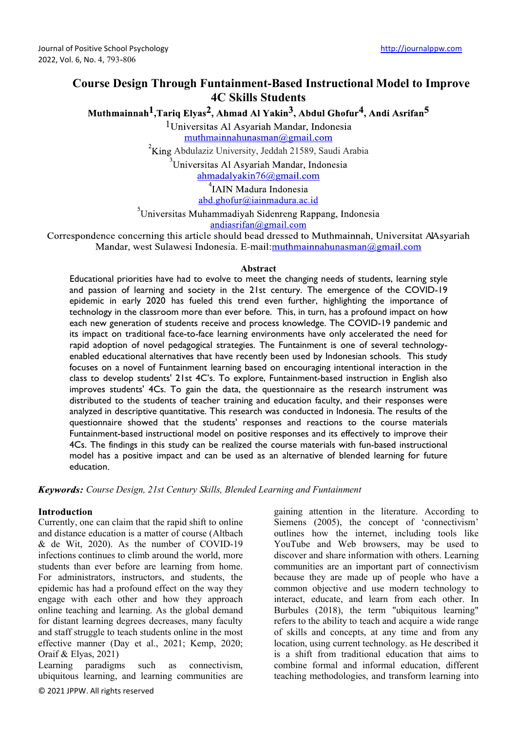# **Course Design Through Funtainment-Based Instructional Model to Improve 4C Skills Students**

Muthmainnah<sup>1</sup>, Tariq Elvas<sup>2</sup>, Ahmad Al Yakin<sup>3</sup>, Abdul Ghofur<sup>4</sup>, Andi Asrifan<sup>5</sup>

<sup>1</sup>Universitas Al Asyariah Mandar, Indonesia muthmainnahunasman@gmail.com

 $2King$  Abdulaziz University, Jeddah 21589, Saudi Arabia<br>
Universitas Al Asyariah Mandar, Indonesia

 $ahmadalyakin76@gmail.com$ 

<sup>4</sup>IAIN Madura Indonesia abd.ghofur@iainmadura.ac.id

<sup>3</sup>Universitas Muhammadiyah Sidenreng Rappang, Indonesia andiasrifan@gmail.com

Correspondence concerning this article should bead dressed to Muthmainnah, Universitat AAsyariah Mandar, west Sulawesi Indonesia. E-mail:muthmainnahunasman@gmail.com

#### **Abstract**

Educational priorities have had to evolve to meet the changing needs of students, learning style and passion of learning and society in the 21st century. The emergence of the COVID-19 epidemic in early 2020 has fueled this trend even further, highlighting the importance of technology in the classroom more than ever before. This, in turn, has a profound impact on how each new generation of students receive and process knowledge. The COVID-19 pandemic and its impact on traditional face-to-face learning environments have only accelerated the need for rapid adoption of novel pedagogical strategies. The Funtainment is one of several technologyenabled educational alternatives that have recently been used by Indonesian schools. This study focuses on a novel of Funtainment learning based on encouraging intentional interaction in the class to develop students' 21st 4C's. To explore, Funtainment-based instruction in English also improves students' 4Cs. To gain the data, the questionnaire as the research instrument was distributed to the students of teacher training and education faculty, and their responses were analyzed in descriptive quantitative. This research was conducted in Indonesia. The results of the questionnaire showed that the students' responses and reactions to the course materials Funtainment-based instructional model on positive responses and its effectively to improve their 4Cs. The findings in this study can be realized the course materials with fun-based instructional model has a positive impact and can be used as an alternative of blended learning for future education

*Course Design, 21st Century Skills, Blended Learning and Funtainment*

## **Introduction**

Currently, one can claim that the rapid shift to online and distance education is a matter of course (Altbach & de Wit, 2020). As the number of COVID-19 infections continues to climb around the world, more students than ever before are learning from home. For administrators, instructors, and students, the epidemic has had a profound effect on the way they engage with each other and how they approach online teaching and learning. As the global demand for distant learning degrees decreases, many faculty and staff struggle to teach students online in the most effective manner (Day et al., 2021; Kemp, 2020; Oraif & Elyas, 2021)

Learning paradigms such as connectivism, ubiquitous learning, and learning communities are gaining attention in the literature. According to Siemens (2005), the concept of 'connectivism' outlines how the internet, including tools like YouTube and Web browsers, may be used to discover and share information with others. Learning communities are an important part of connectivism because they are made up of people who have a common objective and use modern technology to interact, educate, and learn from each other. In Burbules (2018), the term "ubiquitous learning" refers to the ability to teach and acquire a wide range of skills and concepts, at any time and from any location, using current technology. as He described it is a shift from traditional education that aims to combine formal and informal education, different teaching methodologies, and transform learning into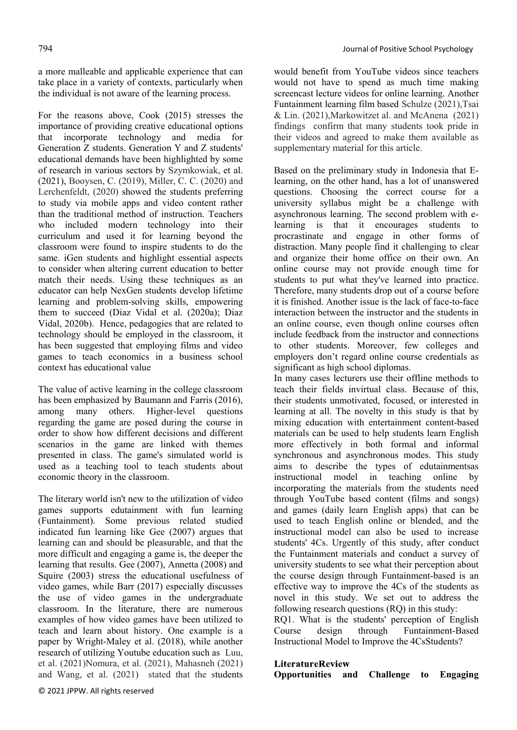a more malleable and applicable experience that can take place in a variety of contexts, particularly when the individual is not aware of the learning process.

For the reasons above, Cook (2015) stresses the importance of providing creative educational options that incorporate technology and media for Generation Z students. Generation Y and Z students' educational demands have been highlighted by some of research in various sectors by Szymkowiak, et al. (2021), Booysen, C. (2019), Miller, C. C. (2020) and Lerchenfeldt, (2020) showed the students preferring to study via mobile apps and video content rather than the traditional method of instruction. Teachers who included modern technology into their curriculum and used it for learning beyond the classroom were found to inspire students to do the same. iGen students and highlight essential aspects to consider when altering current education to better match their needs. Using these techniques as an educator can help NexGen students develop lifetime learning and problem-solving skills, empowering them to succeed (Diaz Vidal et al. (2020a); Diaz Vidal, 2020b). Hence, pedagogies that are related to technology should be employed in the classroom, it has been suggested that employing films and video games to teach economics in a business school context has educational value

The value of active learning in the college classroom has been emphasized by Baumann and Farris (2016), among many others. Higher-level questions regarding the game are posed during the course in order to show how different decisions and different scenarios in the game are linked with themes presented in class. The game's simulated world is used as a teaching tool to teach students about economic theory in the classroom.

The literary world isn't new to the utilization of video games supports edutainment with fun learning (Funtainment). Some previous related studied indicated fun learning like Gee (2007) argues that learning can and should be pleasurable, and that the more difficult and engaging a game is, the deeper the learning that results. Gee (2007), Annetta (2008) and Squire (2003) stress the educational usefulness of video games, while Barr (2017) especially discusses the use of video games in the undergraduate classroom. In the literature, there are numerous examples of how video games have been utilized to teach and learn about history. One example is a paper by Wright-Maley et al. (2018), while another research of utilizing Youtube education such as Luu, et al. (2021)Nomura, et al. (2021), Mahasneh (2021) and Wang, et al. (2021) stated that the students

would benefit from YouTube videos since teachers would not have to spend as much time making screencast lecture videos for online learning. Another Funtainment learning film based Schulze (2021),Tsai & Lin. (2021),Markowitzet al. and McAnena (2021) findings confirm that many students took pride in their videos and agreed to make them available as supplementary material for this article.

Based on the preliminary study in Indonesia that Elearning, on the other hand, has a lot of unanswered questions. Choosing the correct course for a university syllabus might be a challenge with asynchronous learning. The second problem with elearning is that it encourages students to procrastinate and engage in other forms of distraction. Many people find it challenging to clear and organize their home office on their own. An online course may not provide enough time for students to put what they've learned into practice. Therefore, many students drop out of a course before it is finished. Another issue is the lack of face-to-face interaction between the instructor and the students in an online course, even though online courses often include feedback from the instructor and connections to other students. Moreover, few colleges and employers don't regard online course credentials as significant as high school diplomas.

In many cases lecturers use their offline methods to teach their fields invirtual class. Because of this, their students unmotivated, focused, or interested in learning at all. The novelty in this study is that by mixing education with entertainment content-based materials can be used to help students learn English more effectively in both formal and informal synchronous and asynchronous modes. This study aims to describe the types of edutainmentsas instructional model in teaching online by incorporating the materials from the students need through YouTube based content (films and songs) and games (daily learn English apps) that can be used to teach English online or blended, and the instructional model can also be used to increase students' 4Cs. Urgently of this study, after conduct the Funtainment materials and conduct a survey of university students to see what their perception about the course design through Funtainment-based is an effective way to improve the 4Cs of the students as novel in this study. We set out to address the following research questions (RQ) in this study:

RQ1. What is the students' perception of English Course design through Funtainment-Based Instructional Model to Improve the 4CsStudents?

# LiteratureReview

**Opportunities and Challenge to Engaging**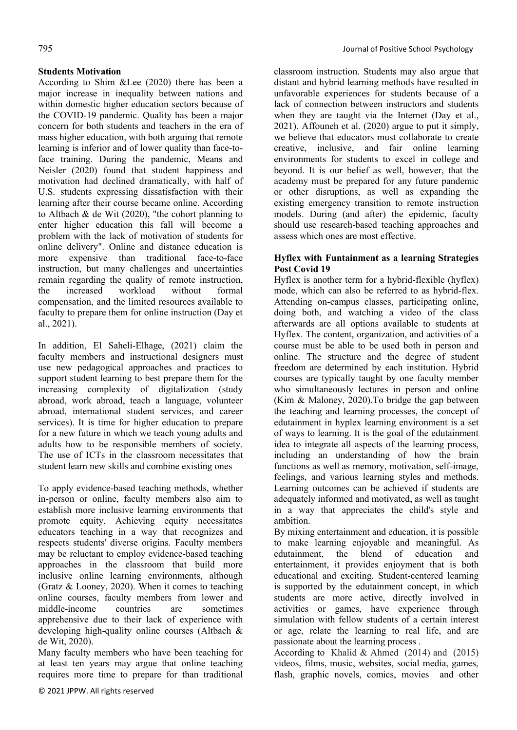# **Students Motivation**

According to Shim &Lee (2020) there has been a major increase in inequality between nations and within domestic higher education sectors because of the COVID-19 pandemic. Quality has been a major concern for both students and teachers in the era of mass higher education, with both arguing that remote learning is inferior and of lower quality than face-toface training. During the pandemic, Means and Neisler (2020) found that student happiness and motivation had declined dramatically, with half of U.S. students expressing dissatisfaction with their learning after their course became online. According to Altbach & de Wit (2020), "the cohort planning to enter higher education this fall will become a problem with the lack of motivation of students for online delivery". Online and distance education is more expensive than traditional face-to-face instruction, but many challenges and uncertainties remain regarding the quality of remote instruction, the increased workload without formal compensation, and the limited resources available to faculty to prepare them for online instruction (Day et al., 2021).

In addition, El Saheli-Elhage, (2021) claim the faculty members and instructional designers must use new pedagogical approaches and practices to support student learning to best prepare them for the increasing complexity of digitalization (study abroad, work abroad, teach a language, volunteer abroad, international student services, and career services). It is time for higher education to prepare for a new future in which we teach young adults and adults how to be responsible members of society. The use of ICTs in the classroom necessitates that student learn new skills and combine existing ones

To apply evidence-based teaching methods, whether in-person or online, faculty members also aim to establish more inclusive learning environments that promote equity. Achieving equity necessitates educators teaching in a way that recognizes and respects students' diverse origins. Faculty members may be reluctant to employ evidence-based teaching approaches in the classroom that build more inclusive online learning environments, although (Gratz & Looney, 2020). When it comes to teaching online courses, faculty members from lower and middle-income countries are sometimes apprehensive due to their lack of experience with developing high-quality online courses (Altbach & de Wit, 2020).

Many faculty members who have been teaching for at least ten years may argue that online teaching requires more time to prepare for than traditional

classroom instruction. Students may also argue that distant and hybrid learning methods have resulted in unfavorable experiences for students because of a lack of connection between instructors and students when they are taught via the Internet (Day et al., 2021). Affouneh et al. (2020) argue to put it simply, we believe that educators must collaborate to create creative, inclusive, and fair online learning environments for students to excel in college and beyond. It is our belief as well, however, that the academy must be prepared for any future pandemic or other disruptions, as well as expanding the existing emergency transition to remote instruction models. During (and after) the epidemic, faculty should use research-based teaching approaches and assess which ones are most effective.

# **Hyflex with Funtainment as a learning Strategies Post Covid 19**

Hyflex is another term for a hybrid-flexible (hyflex) mode, which can also be referred to as hybrid-flex. Attending on-campus classes, participating online, doing both, and watching a video of the class afterwards are all options available to students at Hyflex. The content, organization, and activities of a course must be able to be used both in person and online. The structure and the degree of student freedom are determined by each institution. Hybrid courses are typically taught by one faculty member who simultaneously lectures in person and online (Kim & Maloney, 2020).To bridge the gap between the teaching and learning processes, the concept of edutainment in hyplex learning environment is a set of ways to learning. It is the goal of the edutainment idea to integrate all aspects of the learning process, including an understanding of how the brain functions as well as memory, motivation, self-image, feelings, and various learning styles and methods. Learning outcomes can be achieved if students are adequately informed and motivated, as well as taught in a way that appreciates the child's style and ambition.

By mixing entertainment and education, it is possible to make learning enjoyable and meaningful. As edutainment, the blend of education and entertainment, it provides enjoyment that is both educational and exciting. Student-centered learning is supported by the edutainment concept, in which students are more active, directly involved in activities or games, have experience through simulation with fellow students of a certain interest or age, relate the learning to real life, and are passionate about the learning process .

According to Khalid & Ahmed (2014) and (2015) videos, films, music, websites, social media, games, flash, graphic novels, comics, movies and other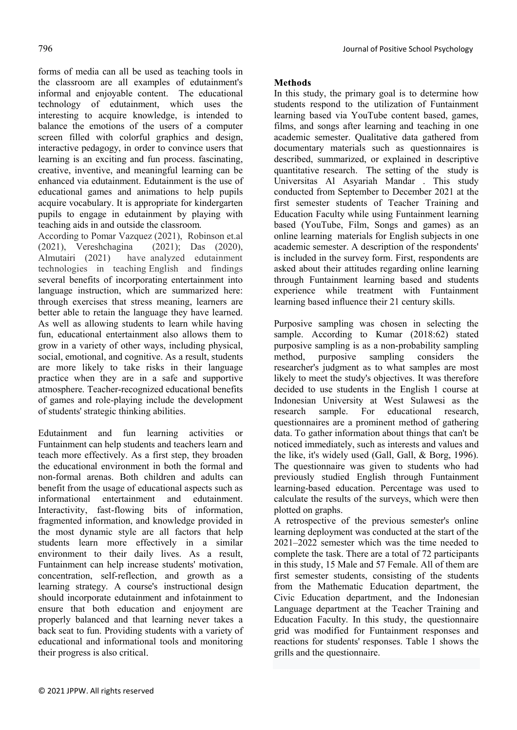forms of media can all be used as teaching tools in the classroom are all examples of edutainment's informal and enjoyable content. The educational technology of edutainment, which uses the interesting to acquire knowledge, is intended to balance the emotions of the users of a computer screen filled with colorful graphics and design, interactive pedagogy, in order to convince users that learning is an exciting and fun process. fascinating, creative, inventive, and meaningful learning can be enhanced via edutainment. Edutainment is the use of educational games and animations to help pupils acquire vocabulary. It is appropriate for kindergarten pupils to engage in edutainment by playing with teaching aids in and outside the classroom.

According to Pomar Vazquez (2021), Robinson et.al (2021), Vereshchagina (2021); Das (2020), Almutairi (2021) have analyzed edutainment technologies in teaching English and findings several benefits of incorporating entertainment into language instruction, which are summarized here: through exercises that stress meaning, learners are better able to retain the language they have learned. As well as allowing students to learn while having fun, educational entertainment also allows them to grow in a variety of other ways, including physical, social, emotional, and cognitive. As a result, students are more likely to take risks in their language practice when they are in a safe and supportive atmosphere. Teacher-recognized educational benefits of games and role-playing include the development of students' strategic thinking abilities.

Edutainment and fun learning activities or Funtainment can help students and teachers learn and teach more effectively. As a first step, they broaden the educational environment in both the formal and non-formal arenas. Both children and adults can benefit from the usage of educational aspects such as informational entertainment and edutainment. Interactivity, fast-flowing bits of information, fragmented information, and knowledge provided in the most dynamic style are all factors that help students learn more effectively in a similar environment to their daily lives. As a result, Funtainment can help increase students' motivation, concentration, self-reflection, and growth as a learning strategy. A course's instructional design should incorporate edutainment and infotainment to ensure that both education and enjoyment are properly balanced and that learning never takes a back seat to fun. Providing students with a variety of educational and informational tools and monitoring their progress is also critical

# **Methods**

In this study, the primary goal is to determine how students respond to the utilization of Funtainment learning based via YouTube content based, games, films, and songs after learning and teaching in one academic semester. Qualitative data gathered from documentary materials such as questionnaires is described, summarized, or explained in descriptive quantitative research. The setting of the study is Universitas Al Asyariah Mandar . This study conducted from September to December 2021 at the first semester students of Teacher Training and Education Faculty while using Funtainment learning based (YouTube, Film, Songs and games) as an online learning materials for English subjects in one academic semester. A description of the respondents' is included in the survey form. First, respondents are asked about their attitudes regarding online learning through Funtainment learning based and students experience while treatment with Funtainment learning based influence their 21 century skills.

Purposive sampling was chosen in selecting the sample. According to Kumar (2018:62) stated purposive sampling is as a non-probability sampling method, purposive sampling considers the researcher's judgment as to what samples are most likely to meet the study's objectives. It was therefore decided to use students in the English 1 course at Indonesian University at West Sulawesi as the research sample. For educational research, questionnaires are a prominent method of gathering data. To gather information about things that can't be noticed immediately, such as interests and values and the like, it's widely used (Gall, Gall, & Borg, 1996). The questionnaire was given to students who had previously studied English through Funtainment learning-based education. Percentage was used to calculate the results of the surveys, which were then plotted on graphs.

A retrospective of the previous semester's online learning deployment was conducted at the start of the 2021–2022 semester which was the time needed to complete the task. There are a total of 72 participants in this study, 15 Male and 57 Female. All of them are first semester students, consisting of the students from the Mathematic Education department, the Civic Education department, and the Indonesian Language department at the Teacher Training and Education Faculty. In this study, the questionnaire grid was modified for Funtainment responses and reactions for students' responses. Table 1 shows the grills and the questionnaire.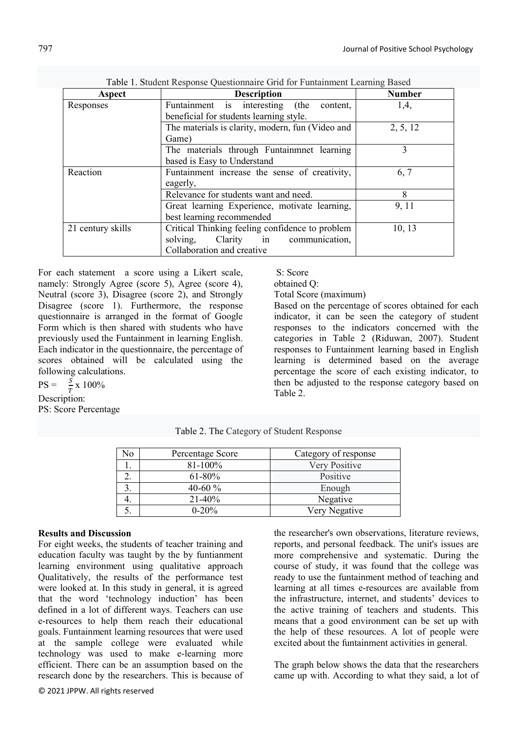|                   | Table 1. Buddent Response Questionnan's Grid for I amamment Learning Dasca<br><b>Number</b> |          |  |  |  |
|-------------------|---------------------------------------------------------------------------------------------|----------|--|--|--|
| Aspect            | <b>Description</b>                                                                          |          |  |  |  |
| Responses         | Funtainment is interesting<br>(the content,                                                 | 1,4,     |  |  |  |
|                   | beneficial for students learning style.                                                     |          |  |  |  |
|                   | The materials is clarity, modern, fun (Video and                                            | 2, 5, 12 |  |  |  |
|                   | Game)                                                                                       |          |  |  |  |
|                   | The materials through Funtainmet learning                                                   | 3        |  |  |  |
|                   | based is Easy to Understand                                                                 |          |  |  |  |
| Reaction          | Funtainment increase the sense of creativity,                                               | 6, 7     |  |  |  |
|                   | eagerly,                                                                                    |          |  |  |  |
|                   | Relevance for students want and need.                                                       |          |  |  |  |
|                   | Great learning Experience, motivate learning,                                               | 9, 11    |  |  |  |
|                   | best learning recommended                                                                   |          |  |  |  |
| 21 century skills | Critical Thinking feeling confidence to problem                                             | 10, 13   |  |  |  |
|                   | Clarity in communication,<br>solving,                                                       |          |  |  |  |
|                   | Collaboration and creative                                                                  |          |  |  |  |

|  | Table 1. Student Response Questionnaire Grid for Funtainment Learning Based |  |
|--|-----------------------------------------------------------------------------|--|
|--|-----------------------------------------------------------------------------|--|

For each statement a score using a Likert scale, namely: Strongly Agree (score 5), Agree (score 4), Neutral (score 3), Disagree (score 2), and Strongly Disagree (score 1). Furthermore, the response questionnaire is arranged in the format of Google Form which is then shared with students who have previously used the Funtainment in learning English. Each indicator in the questionnaire, the percentage of scores obtained will be calculated using the following calculations.

 $PS = \frac{S}{T} \times 100\%$ Description:

PS: Score Percentage

| S: Score |
|----------|
|          |

```
obtained Q:
```
Total Score (maximum)

Based on the percentage of scores obtained for each indicator, it can be seen the category of student responses to the indicators concerned with the categories in Table 2 (Riduwan, 2007). Student responses to Funtainment learning based in English learning is determined based on the average percentage the score of each existing indicator, to then be adjusted to the response category based on Table 2.

|  |  |  | Table 2. The Category of Student Response |  |
|--|--|--|-------------------------------------------|--|
|--|--|--|-------------------------------------------|--|

| No | Percentage Score | Category of response |
|----|------------------|----------------------|
|    | 81-100%          | Very Positive        |
|    | $61 - 80\%$      | Positive             |
|    | 40-60 $%$        | Enough               |
|    | $21 - 40%$       | Negative             |
|    | $0 - 20%$        | Very Negative        |

### **Results and Discussion**

For eight weeks, the students of teacher training and education faculty was taught by the by funtianment learning environment using qualitative approach Qualitatively, the results of the performance test were looked at. In this study in general, it is agreed that the word 'technology induction' has been defined in a lot of different ways. Teachers can use e-resources to help them reach their educational goals. Funtainment learning resources that were used at the sample college were evaluated while technology was used to make e-learning more efficient. There can be an assumption based on the research done by the researchers. This is because of

© 2021 JPPW. All rights reserved

the researcher's own observations, literature reviews, reports, and personal feedback. The unit's issues are more comprehensive and systematic. During the course of study, it was found that the college was ready to use the funtainment method of teaching and learning at all times e-resources are available from the infrastructure, internet, and students' devices to the active training of teachers and students. This means that a good environment can be set up with the help of these resources. A lot of people were excited about the funtainment activities in general.

The graph below shows the data that the researchers came up with. According to what they said, a lot of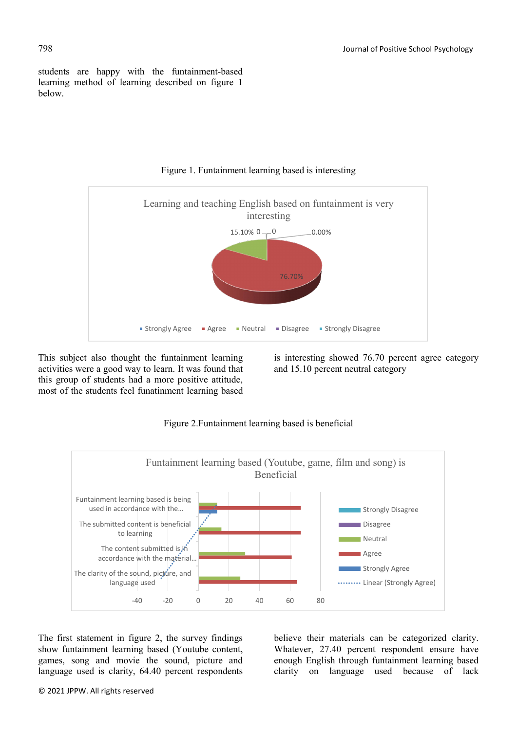students are happy with the funtainment-based learning method of learning described on figure 1 below.



# Figure 1. Funtainment learning based is interesting

This subject also thought the funtainment learning activities were a good way to learn. It was found that this group of students had a more positive attitude, most of the students feel funatinment learning based

is interesting showed 76.70 percent agree category and 15.10 percent neutral category



# Figure 2.Funtainment learning based is beneficial

The first statement in figure 2, the survey findings show funtainment learning based (Youtube content, games, song and movie the sound, picture and language used is clarity, 64.40 percent respondents

believe their materials can be categorized clarity. Whatever, 27.40 percent respondent ensure have enough English through funtainment learning based clarity on language used because of lack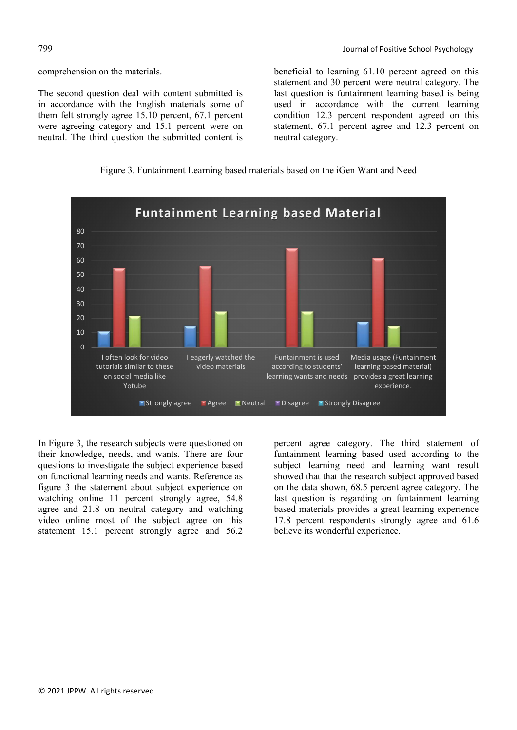comprehension on the materials.

The second question deal with content submitted is in accordance with the English materials some of them felt strongly agree 15.10 percent, 67.1 percent were agreeing category and 15.1 percent were on neutral. The third question the submitted content is

beneficial to learning 61.10 percent agreed on this statement and 30 percent were neutral category. The last question is funtainment learning based is being used in accordance with the current learning condition 12.3 percent respondent agreed on this statement, 67.1 percent agree and 12.3 percent on neutral category.





In Figure 3, the research subjects were questioned on their knowledge, needs, and wants. There are four questions to investigate the subject experience based on functional learning needs and wants. Reference as figure 3 the statement about subject experience on watching online 11 percent strongly agree, 54.8 agree and 21.8 on neutral category and watching video online most of the subject agree on this statement 15.1 percent strongly agree and 56.2 percent agree category. The third statement of funtainment learning based used according to the subject learning need and learning want result showed that that the research subject approved based on the data shown, 68.5 percent agree category. The last question is regarding on funtainment learning based materials provides a great learning experience 17.8 percent respondents strongly agree and 61.6 believe its wonderful experience.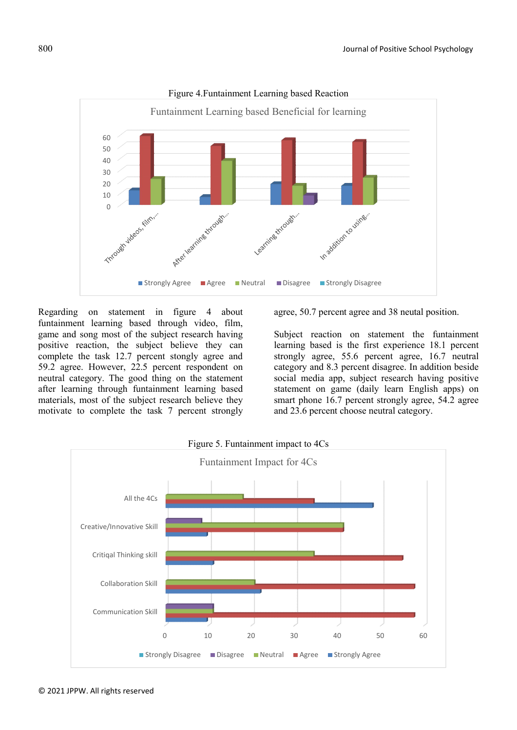

Figure 4.Funtainment Learning based Reaction

Regarding on statement in figure 4 about funtainment learning based through video, film, game and song most of the subject research having positive reaction, the subject believe they can complete the task 12.7 percent stongly agree and 59.2 agree. However, 22.5 percent respondent on neutral category. The good thing on the statement after learning through funtainment learning based materials, most of the subject research believe they motivate to complete the task 7 percent strongly

agree, 50.7 percent agree and 38 neutal position.

Subject reaction on statement the funtainment learning based is the first experience 18.1 percent strongly agree, 55.6 percent agree, 16.7 neutral category and 8.3 percent disagree. In addition beside social media app, subject research having positive statement on game (daily learn English apps) on smart phone 16.7 percent strongly agree, 54.2 agree and 23.6 percent choose neutral category.

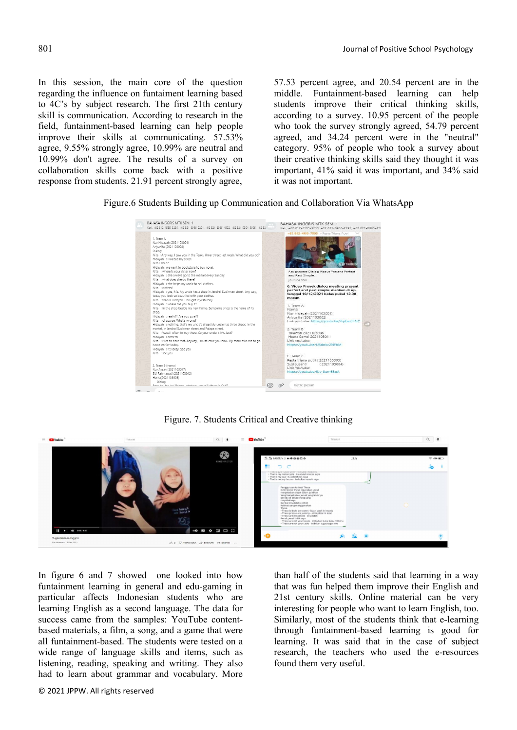In this session, the main core of the question regarding the influence on funtaiment learning based to 4C's by subject research. The first 21th century skill is communication. According to research in the field, funtainment-based learning can help people improve their skills at communicating. 57.53% agree, 9.55% strongly agree, 10.99% are neutral and 10.99% don't agree. The results of a survey on collaboration skills come back with a positive response from students. 21.91 percent strongly agree,

57.53 percent agree, and 20.54 percent are in the middle. Funtainment-based learning can help students improve their critical thinking skills, according to a survey. 10.95 percent of the people who took the survey strongly agreed, 54.79 percent agreed, and 34.24 percent were in the "neutral" category. 95% of people who took a survey about their creative thinking skills said they thought it was important, 41% said it was important, and 34% said it was not important.

Figure.6 Students Building up Communication and Collaboration Via WhatsApp



Figure. 7. Students Critical and Creative thinking



In figure 6 and 7 showed one looked into how funtainment learning in general and edu-gaming in particular affects Indonesian students who are learning English as a second language. The data for success came from the samples: YouTube contentbased materials, a film, a song, and a game that were all funtainment-based. The students were tested on a wide range of language skills and items, such as listening, reading, speaking and writing. They also had to learn about grammar and vocabulary. More

than half of the students said that learning in a way that was fun helped them improve their English and 21st century skills. Online material can be very interesting for people who want to learn English, too. Similarly, most of the students think that e-learning through funtainment-based learning is good for learning. It was said that in the case of subject research, the teachers who used the e-resources found them very useful.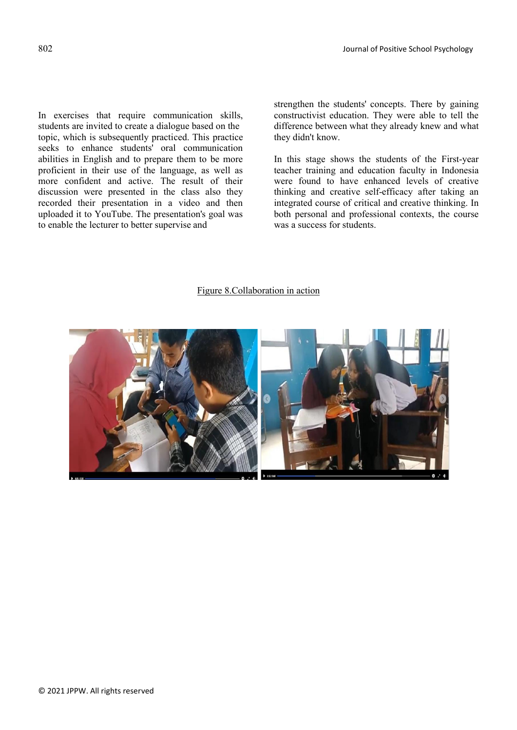In exercises that require communication skills, students are invited to create a dialogue based on the topic, which is subsequently practiced. This practice seeks to enhance students' oral communication abilities in English and to prepare them to be more proficient in their use of the language, as well as more confident and active. The result of their discussion were presented in the class also they recorded their presentation in a video and then uploaded it to YouTube. The presentation's goal was to enable the lecturer to better supervise and

strengthen the students' concepts. There by gaining constructivist education. They were able to tell the difference between what they already knew and what they didn't know.

In this stage shows the students of the First-year teacher training and education faculty in Indonesia were found to have enhanced levels of creative thinking and creative self-efficacy after taking an integrated course of critical and creative thinking. In both personal and professional contexts, the course was a success for students.

#### Figure 8.Collaboration in action

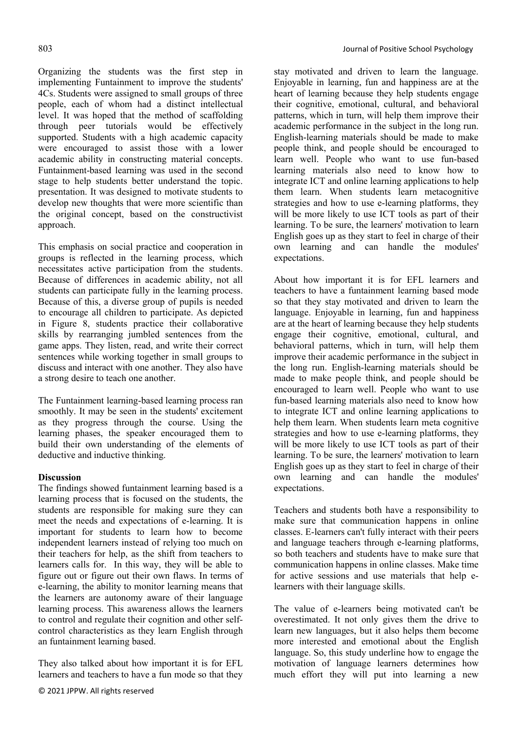Organizing the students was the first step in implementing Funtainment to improve the students' 4Cs. Students were assigned to small groups of three people, each of whom had a distinct intellectual level. It was hoped that the method of scaffolding through peer tutorials would be effectively supported. Students with a high academic capacity were encouraged to assist those with a lower academic ability in constructing material concepts. Funtainment-based learning was used in the second stage to help students better understand the topic. presentation. It was designed to motivate students to develop new thoughts that were more scientific than the original concept, based on the constructivist approach.

This emphasis on social practice and cooperation in groups is reflected in the learning process, which necessitates active participation from the students. Because of differences in academic ability, not all students can participate fully in the learning process. Because of this, a diverse group of pupils is needed to encourage all children to participate. As depicted in Figure 8, students practice their collaborative skills by rearranging jumbled sentences from the game apps. They listen, read, and write their correct sentences while working together in small groups to discuss and interact with one another. They also have a strong desire to teach one another.

The Funtainment learning-based learning process ran smoothly. It may be seen in the students' excitement as they progress through the course. Using the learning phases, the speaker encouraged them to build their own understanding of the elements of deductive and inductive thinking.

### **Discussion**

The findings showed funtainment learning based is a learning process that is focused on the students, the students are responsible for making sure they can meet the needs and expectations of e-learning. It is important for students to learn how to become independent learners instead of relying too much on their teachers for help, as the shift from teachers to learners calls for. In this way, they will be able to figure out or figure out their own flaws. In terms of e-learning, the ability to monitor learning means that the learners are autonomy aware of their language learning process. This awareness allows the learners to control and regulate their cognition and other selfcontrol characteristics as they learn English through an funtainment learning based.

They also talked about how important it is for EFL learners and teachers to have a fun mode so that they stay motivated and driven to learn the language. Enjoyable in learning, fun and happiness are at the heart of learning because they help students engage their cognitive, emotional, cultural, and behavioral patterns, which in turn, will help them improve their academic performance in the subject in the long run. English-learning materials should be made to make people think, and people should be encouraged to learn well. People who want to use fun-based learning materials also need to know how to integrate ICT and online learning applications to help them learn. When students learn metacognitive strategies and how to use e-learning platforms, they will be more likely to use ICT tools as part of their learning. To be sure, the learners' motivation to learn English goes up as they start to feel in charge of their own learning and can handle the modules' expectations.

About how important it is for EFL learners and teachers to have a funtainment learning based mode so that they stay motivated and driven to learn the language. Enjoyable in learning, fun and happiness are at the heart of learning because they help students engage their cognitive, emotional, cultural, and behavioral patterns, which in turn, will help them improve their academic performance in the subject in the long run. English-learning materials should be made to make people think, and people should be encouraged to learn well. People who want to use fun-based learning materials also need to know how to integrate ICT and online learning applications to help them learn. When students learn meta cognitive strategies and how to use e-learning platforms, they will be more likely to use ICT tools as part of their learning. To be sure, the learners' motivation to learn English goes up as they start to feel in charge of their own learning and can handle the modules' expectations.

Teachers and students both have a responsibility to make sure that communication happens in online classes. E-learners can't fully interact with their peers and language teachers through e-learning platforms, so both teachers and students have to make sure that communication happens in online classes. Make time for active sessions and use materials that help elearners with their language skills.

The value of e-learners being motivated can't be overestimated. It not only gives them the drive to learn new languages, but it also helps them become more interested and emotional about the English language. So, this study underline how to engage the motivation of language learners determines how much effort they will put into learning a new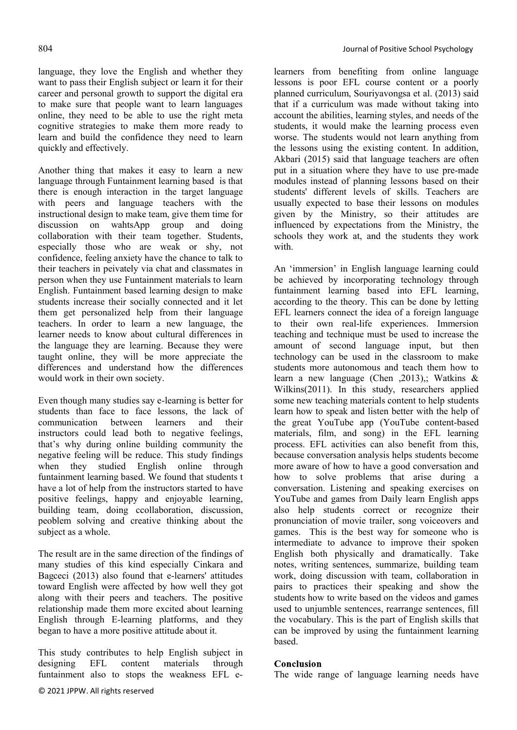language, they love the English and whether they want to pass their English subject or learn it for their career and personal growth to support the digital era to make sure that people want to learn languages online, they need to be able to use the right meta cognitive strategies to make them more ready to learn and build the confidence they need to learn quickly and effectively.

Another thing that makes it easy to learn a new language through Funtainment learning based is that there is enough interaction in the target language with peers and language teachers with the instructional design to make team, give them time for discussion on wahtsApp group and doing collaboration with their team together. Students, especially those who are weak or shy, not confidence, feeling anxiety have the chance to talk to their teachers in peivately via chat and classmates in person when they use Funtainment materials to learn English. Funtainment based learning design to make students increase their socially connected and it let them get personalized help from their language teachers. In order to learn a new language, the learner needs to know about cultural differences in the language they are learning. Because they were taught online, they will be more appreciate the differences and understand how the differences would work in their own society.

Even though many studies say e-learning is better for students than face to face lessons, the lack of communication between learners and their instructors could lead both to negative feelings, that's why during online building community the negative feeling will be reduce. This study findings when they studied English online through funtainment learning based. We found that students t have a lot of help from the instructors started to have positive feelings, happy and enjoyable learning, building team, doing ccollaboration, discussion, peoblem solving and creative thinking about the subject as a whole.

The result are in the same direction of the findings of many studies of this kind especially Cinkara and Bagceci (2013) also found that e-learners' attitudes toward English were affected by how well they got along with their peers and teachers. The positive relationship made them more excited about learning English through E-learning platforms, and they began to have a more positive attitude about it.

This study contributes to help English subject in designing EFL content materials through funtainment also to stops the weakness EFL elearners from benefiting from online language lessons is poor EFL course content or a poorly planned curriculum, Souriyavongsa et al. (2013) said that if a curriculum was made without taking into account the abilities, learning styles, and needs of the students, it would make the learning process even worse. The students would not learn anything from the lessons using the existing content. In addition, Akbari (2015) said that language teachers are often put in a situation where they have to use pre-made modules instead of planning lessons based on their students' different levels of skills. Teachers are usually expected to base their lessons on modules given by the Ministry, so their attitudes are influenced by expectations from the Ministry, the schools they work at, and the students they work with.

An 'immersion' in English language learning could be achieved by incorporating technology through funtainment learning based into EFL learning, according to the theory. This can be done by letting EFL learners connect the idea of a foreign language to their own real-life experiences. Immersion teaching and technique must be used to increase the amount of second language input, but then technology can be used in the classroom to make students more autonomous and teach them how to learn a new language (Chen ,2013),; Watkins & Wilkins(2011). In this study, researchers applied some new teaching materials content to help students learn how to speak and listen better with the help of the great YouTube app (YouTube content-based materials, film, and song) in the EFL learning process. EFL activities can also benefit from this, because conversation analysis helps students become more aware of how to have a good conversation and how to solve problems that arise during a conversation. Listening and speaking exercises on YouTube and games from Daily learn English apps also help students correct or recognize their pronunciation of movie trailer, song voiceovers and games. This is the best way for someone who is intermediate to advance to improve their spoken English both physically and dramatically. Take notes, writing sentences, summarize, building team work, doing discussion with team, collaboration in pairs to practices their speaking and show the students how to write based on the videos and games used to unjumble sentences, rearrange sentences, fill the vocabulary. This is the part of English skills that can be improved by using the funtainment learning based.

#### Conclusion

The wide range of language learning needs have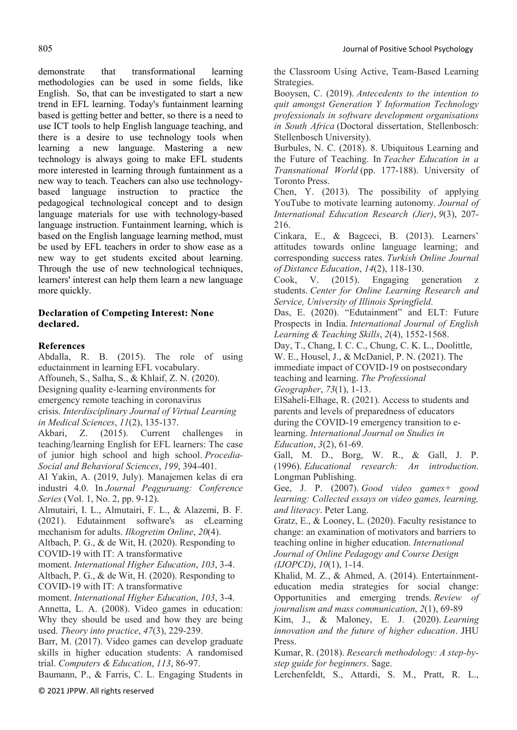demonstrate that transformational learning methodologies can be used in some fields, like English. So, that can be investigated to start a new trend in EFL learning. Today's funtainment learning based is getting better and better, so there is a need to use ICT tools to help English language teaching, and there is a desire to use technology tools when learning a new language. Mastering a new technology is always going to make EFL students more interested in learning through funtainment as a new way to teach. Teachers can also use technologybased language instruction to practice the pedagogical technological concept and to design language materials for use with technology-based language instruction. Funtainment learning, which is based on the English language learning method, must be used by EFL teachers in order to show ease as a new way to get students excited about learning. Through the use of new technological techniques, learners' interest can help them learn a new language more quickly.

# **Declaration of Competing Interest: None** declared.

# **References**

Abdalla, R. B. (2015). The role of using eductainment in learning EFL vocabulary. Affouneh, S., Salha, S., & Khlaif, Z. N. (2020). Designing quality e-learning environments for emergency remote teaching in coronavirus crisis. *Interdisciplinary Journal of Virtual Learning in Medical Sciences*, *11*(2), 135-137. Akbari, Z. (2015). Current challenges in teaching/learning English for EFL learners: The case of junior high school and high school. *Procedia-Social and Behavioral Sciences*, *199*, 394-401. Al Yakin, A. (2019, July). Manajemen kelas di era industri 4.0. In *Journal Peqguruang: Conference Series* (Vol. 1, No. 2, pp. 9-12). Almutairi, I. L., Almutairi, F. L., & Alazemi, B. F. (2021). Edutainment software's as eLearning mechanism for adults. *Ilkogretim Online*, *20*(4). Altbach, P. G., & de Wit, H. (2020). Responding to COVID-19 with IT: A transformative moment. *International Higher Education*, *103*, 3-4. Altbach, P. G., & de Wit, H. (2020). Responding to COVID-19 with IT: A transformative moment. *International Higher Education*, *103*, 3-4. Annetta, L. A. (2008). Video games in education: Why they should be used and how they are being used. *Theory into practice*, *47*(3), 229-239. Barr, M. (2017). Video games can develop graduate skills in higher education students: A randomised trial. *Computers & Education*, *113*, 86-97.

Baumann, P., & Farris, C. L. Engaging Students in

the Classroom Using Active, Team-Based Learning Strategies.

Booysen, C. (2019). *Antecedents to the intention to quit amongst Generation Y Information Technology professionals in software development organisations in South Africa* (Doctoral dissertation, Stellenbosch: Stellenbosch University).

Burbules, N. C. (2018). 8. Ubiquitous Learning and the Future of Teaching. In *Teacher Education in a Transnational World* (pp. 177-188). University of Toronto Press.

Chen, Y. (2013). The possibility of applying YouTube to motivate learning autonomy. *Journal of International Education Research (Jier)*, *9*(3), 207- 216.

Cinkara, E., & Bagceci, B. (2013). Learners' attitudes towards online language learning; and corresponding success rates. *Turkish Online Journal of Distance Education*, *14*(2), 118-130.

Cook, V. (2015). Engaging generation students. *Center for Online Learning Research and Service, University of Illinois Springfield*.

Das, E. (2020). "Edutainment" and ELT: Future Prospects in India. *International Journal of English Learning & Teaching Skills*, *2*(4), 1552-1568.

Day, T., Chang, I. C. C., Chung, C. K. L., Doolittle, W. E., Housel, J., & McDaniel, P. N. (2021). The immediate impact of COVID-19 on postsecondary teaching and learning. *The Professional* 

*Geographer*, *73*(1), 1-13.

ElSaheli-Elhage, R. (2021). Access to students and parents and levels of preparedness of educators during the COVID-19 emergency transition to elearning. *International Journal on Studies in Education*, *3*(2), 61-69.

Gall, M. D., Borg, W. R., & Gall, J. P. (1996). *Educational research: An introduction*. Longman Publishing.

Gee, J. P. (2007). *Good video games+ good learning: Collected essays on video games, learning, and literacy*. Peter Lang.

Gratz, E., & Looney, L. (2020). Faculty resistance to change: an examination of motivators and barriers to teaching online in higher education. *International Journal of Online Pedagogy and Course Design (IJOPCD)*, *10*(1), 1-14.

Khalid, M. Z., & Ahmed, A. (2014). Entertainmenteducation media strategies for social change: Opportunities and emerging trends. *Review of journalism and mass communication*, *2*(1), 69-89

Kim, J., & Maloney, E. J. (2020). *Learning innovation and the future of higher education*. JHU Press.

Kumar, R. (2018). *Research methodology: A step-bystep guide for beginners*. Sage.

Lerchenfeldt, S., Attardi, S. M., Pratt, R. L.,